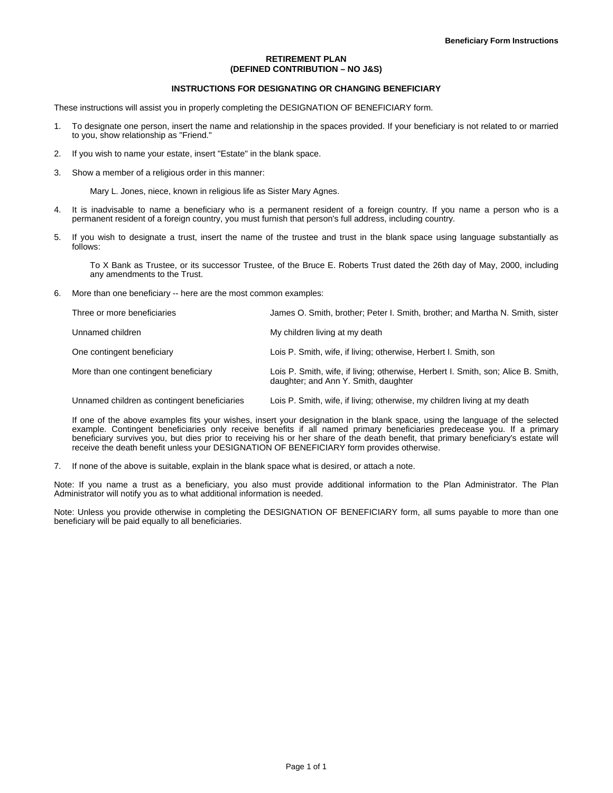# **RETIREMENT PLAN (DEFINED CONTRIBUTION – NO J&S)**

# **INSTRUCTIONS FOR DESIGNATING OR CHANGING BENEFICIARY**

These instructions will assist you in properly completing the DESIGNATION OF BENEFICIARY form.

- 1. To designate one person, insert the name and relationship in the spaces provided. If your beneficiary is not related to or married to you, show relationship as "Friend."
- 2. If you wish to name your estate, insert "Estate" in the blank space.
- 3. Show a member of a religious order in this manner:

Mary L. Jones, niece, known in religious life as Sister Mary Agnes.

- 4. It is inadvisable to name a beneficiary who is a permanent resident of a foreign country. If you name a person who is a permanent resident of a foreign country, you must furnish that person's full address, including country.
- 5. If you wish to designate a trust, insert the name of the trustee and trust in the blank space using language substantially as follows:

To X Bank as Trustee, or its successor Trustee, of the Bruce E. Roberts Trust dated the 26th day of May, 2000, including any amendments to the Trust.

6. More than one beneficiary -- here are the most common examples:

| Three or more beneficiaries          | James O. Smith, brother: Peter I. Smith, brother: and Martha N. Smith, sister                                             |
|--------------------------------------|---------------------------------------------------------------------------------------------------------------------------|
| Unnamed children                     | My children living at my death                                                                                            |
| One contingent beneficiary           | Lois P. Smith, wife, if living; otherwise, Herbert I. Smith, son                                                          |
| More than one contingent beneficiary | Lois P. Smith, wife, if living; otherwise, Herbert I. Smith, son; Alice B. Smith,<br>daughter; and Ann Y. Smith, daughter |

Unnamed children as contingent beneficiaries Lois P. Smith, wife, if living; otherwise, my children living at my death

If one of the above examples fits your wishes, insert your designation in the blank space, using the language of the selected example. Contingent beneficiaries only receive benefits if all named primary beneficiaries predecease you. If a primary beneficiary survives you, but dies prior to receiving his or her share of the death benefit, that primary beneficiary's estate will receive the death benefit unless your DESIGNATION OF BENEFICIARY form provides otherwise.

7. If none of the above is suitable, explain in the blank space what is desired, or attach a note.

Note: If you name a trust as a beneficiary, you also must provide additional information to the Plan Administrator. The Plan Administrator will notify you as to what additional information is needed.

Note: Unless you provide otherwise in completing the DESIGNATION OF BENEFICIARY form, all sums payable to more than one beneficiary will be paid equally to all beneficiaries.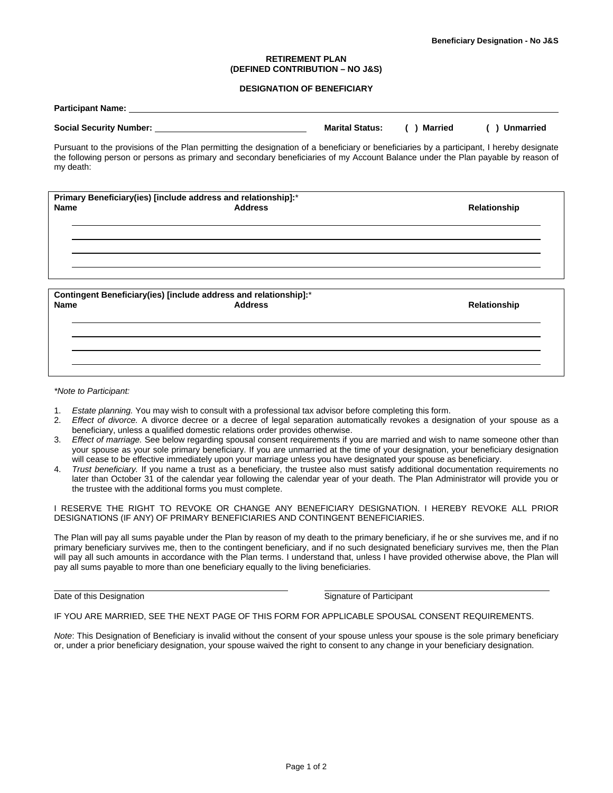# **RETIREMENT PLAN (DEFINED CONTRIBUTION – NO J&S)**

# **DESIGNATION OF BENEFICIARY**

|                | ( ) Married                                                                                                                                                                                                                                                                                        | <b>Unmarried</b>                                                                                                                                                                                                                                                                                                       |
|----------------|----------------------------------------------------------------------------------------------------------------------------------------------------------------------------------------------------------------------------------------------------------------------------------------------------|------------------------------------------------------------------------------------------------------------------------------------------------------------------------------------------------------------------------------------------------------------------------------------------------------------------------|
|                |                                                                                                                                                                                                                                                                                                    |                                                                                                                                                                                                                                                                                                                        |
|                |                                                                                                                                                                                                                                                                                                    |                                                                                                                                                                                                                                                                                                                        |
| <b>Address</b> |                                                                                                                                                                                                                                                                                                    |                                                                                                                                                                                                                                                                                                                        |
|                |                                                                                                                                                                                                                                                                                                    |                                                                                                                                                                                                                                                                                                                        |
|                |                                                                                                                                                                                                                                                                                                    |                                                                                                                                                                                                                                                                                                                        |
|                |                                                                                                                                                                                                                                                                                                    |                                                                                                                                                                                                                                                                                                                        |
|                |                                                                                                                                                                                                                                                                                                    |                                                                                                                                                                                                                                                                                                                        |
|                |                                                                                                                                                                                                                                                                                                    | Relationship                                                                                                                                                                                                                                                                                                           |
|                |                                                                                                                                                                                                                                                                                                    |                                                                                                                                                                                                                                                                                                                        |
|                |                                                                                                                                                                                                                                                                                                    |                                                                                                                                                                                                                                                                                                                        |
|                |                                                                                                                                                                                                                                                                                                    |                                                                                                                                                                                                                                                                                                                        |
|                | Participant Name: the contract of the contract of the contract of the contract of the contract of the contract of the contract of the contract of the contract of the contract of the contract of the contract of the contract<br>Contingent Beneficiary(ies) [include address and relationship]:* | <b>Marital Status:</b><br>Pursuant to the provisions of the Plan permitting the designation of a beneficiary or beneficiaries by a participant, I hereby designate<br>the following person or persons as primary and secondary beneficiaries of my Account Balance under the Plan payable by reason of<br>Relationship |

#### *\*Note to Participant:*

- 1. *Estate planning.* You may wish to consult with a professional tax advisor before completing this form.
- 2. *Effect of divorce.* A divorce decree or a decree of legal separation automatically revokes a designation of your spouse as a beneficiary, unless a qualified domestic relations order provides otherwise.
- 3. *Effect of marriage.* See below regarding spousal consent requirements if you are married and wish to name someone other than your spouse as your sole primary beneficiary. If you are unmarried at the time of your designation, your beneficiary designation will cease to be effective immediately upon your marriage unless you have designated your spouse as beneficiary.
- 4. *Trust beneficiary.* If you name a trust as a beneficiary, the trustee also must satisfy additional documentation requirements no later than October 31 of the calendar year following the calendar year of your death. The Plan Administrator will provide you or the trustee with the additional forms you must complete.

I RESERVE THE RIGHT TO REVOKE OR CHANGE ANY BENEFICIARY DESIGNATION. I HEREBY REVOKE ALL PRIOR DESIGNATIONS (IF ANY) OF PRIMARY BENEFICIARIES AND CONTINGENT BENEFICIARIES.

The Plan will pay all sums payable under the Plan by reason of my death to the primary beneficiary, if he or she survives me, and if no primary beneficiary survives me, then to the contingent beneficiary, and if no such designated beneficiary survives me, then the Plan will pay all such amounts in accordance with the Plan terms. I understand that, unless I have provided otherwise above, the Plan will pay all sums payable to more than one beneficiary equally to the living beneficiaries.

Date of this Designation **Signature of Participant** Bate of Participant

IF YOU ARE MARRIED, SEE THE NEXT PAGE OF THIS FORM FOR APPLICABLE SPOUSAL CONSENT REQUIREMENTS.

*Note*: This Designation of Beneficiary is invalid without the consent of your spouse unless your spouse is the sole primary beneficiary or, under a prior beneficiary designation, your spouse waived the right to consent to any change in your beneficiary designation.